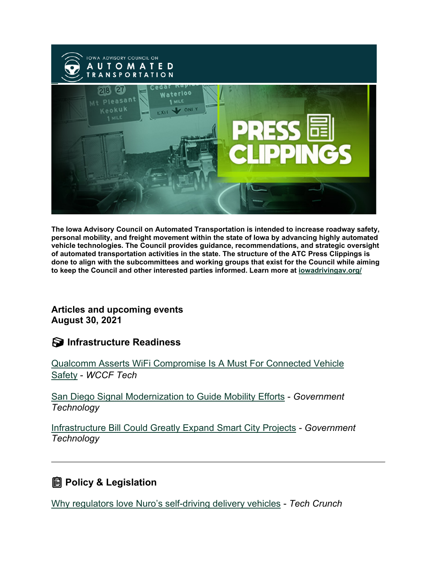

**The Iowa Advisory Council on Automated Transportation is intended to increase roadway safety, personal mobility, and freight movement within the state of Iowa by advancing highly automated vehicle technologies. The Council provides guidance, recommendations, and strategic oversight of automated transportation activities in the state. The structure of the ATC Press Clippings is done to align with the subcommittees and working groups that exist for the Council while aiming to keep the Council and other interested parties informed. Learn more at [iowadrivingav.org/](https://iowadrivingav.org/?utm_medium=email&utm_source=govdelivery)**

#### **Articles and upcoming events August 30, 2021**

#### **S** Infrastructure Readiness

[Qualcomm Asserts WiFi Compromise Is A Must For Connected Vehicle](https://wccftech.com/qualcomm-asserts-wifi-compromise-is-a-must-for-connected-vehicle-safety/?utm_medium=email&utm_source=govdelivery)  [Safety](https://wccftech.com/qualcomm-asserts-wifi-compromise-is-a-must-for-connected-vehicle-safety/?utm_medium=email&utm_source=govdelivery) - *WCCF Tech*

[San Diego Signal Modernization to Guide Mobility Efforts](https://www.govtech.com/fs/san-diego-signal-modernization-to-guide-mobility-efforts?utm_medium=email&utm_source=govdelivery) - *Government Technology*

[Infrastructure Bill Could Greatly Expand Smart City Projects](https://www.govtech.com/fs/infrastructure-bill-could-greatly-expand-smart-city-projects?utm_medium=email&utm_source=govdelivery) *- Government Technology*

## **Policy & Legislation**

[Why regulators love Nuro's self-driving delivery vehicles](https://techcrunch.com/2021/08/16/nuro-ec1-regulations/?utm_medium=email&utm_source=govdelivery) - *Tech Crunch*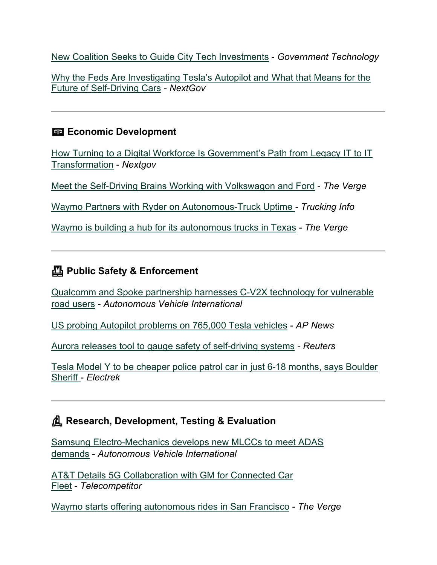[New Coalition Seeks to Guide City Tech Investments](https://www.govtech.com/biz/new-coalition-seeks-to-guide-city-tech-investments?utm_medium=email&utm_source=govdelivery) - *Government Technology*

[Why the Feds Are Investigating Tesla's Autopilot and What that Means for the](https://www.nextgov.com/ideas/2021/08/why-feds-are-investigating-teslas-autopilot-and-what-means-future-self-driving-cars/184744/?utm_medium=email&utm_source=govdelivery)  [Future of Self-Driving Cars](https://www.nextgov.com/ideas/2021/08/why-feds-are-investigating-teslas-autopilot-and-what-means-future-self-driving-cars/184744/?utm_medium=email&utm_source=govdelivery) *- NextGov*

### **Example 2** Economic Development

[How Turning to a Digital Workforce Is Government's Path from Legacy IT to IT](https://www.nextgov.com/ideas/2021/08/how-turning-digital-workforce-governments-path-legacy-it-it-transformation/184546/?utm_medium=email&utm_source=govdelivery)  [Transformation](https://www.nextgov.com/ideas/2021/08/how-turning-digital-workforce-governments-path-legacy-it-it-transformation/184546/?utm_medium=email&utm_source=govdelivery) - *Nextgov*

[Meet the Self-Driving Brains Working with Volkswagon and Ford](https://www.theverge.com/22627847/argo-ai-bryan-salesky-decoder-interview-lyft-self-driving?utm_medium=email&utm_source=govdelivery) - *The Verge*

[Waymo Partners with Ryder on Autonomous-Truck Uptime](https://www.truckinginfo.com/10149570/waymo-partners-with-ryder-on-autonomous-truck-uptime?utm_medium=email&utm_source=govdelivery) *- Trucking Info*

[Waymo is building a hub for its autonomous trucks in Texas](https://www.theverge.com/2021/8/18/22628836/waymo-autonomous-truck-hub-texas-ryder?utm_medium=email&utm_source=govdelivery) *- The Verge*

## **Public Safety & Enforcement**

[Qualcomm and Spoke partnership harnesses C-V2X technology for vulnerable](https://www.autonomousvehicleinternational.com/news/v2x-news/qualcomm-and-spoke-partnership-harnesses-c-v2x-technology-for-vulnerable-road-users.html?utm_medium=email&utm_source=govdelivery)  [road users](https://www.autonomousvehicleinternational.com/news/v2x-news/qualcomm-and-spoke-partnership-harnesses-c-v2x-technology-for-vulnerable-road-users.html?utm_medium=email&utm_source=govdelivery) - *Autonomous Vehicle International*

[US probing Autopilot problems on 765,000 Tesla vehicles](https://apnews.com/article/technology-business-61557d668b646e7ef48c5543d3a1c66c?utm_medium=email&utm_source=govdelivery) - *AP News*

[Aurora releases tool to gauge safety of self-driving systems](https://www.reuters.com/technology/aurora-releases-tool-gauge-safety-self-driving-systems-2021-08-18/?utm_medium=email&utm_source=govdelivery) *- Reuters*

[Tesla Model Y to be cheaper police patrol car in just 6-18 months, says Boulder](https://electrek.co/2021/08/16/tesla-model-y-cheaper-police-patrol-car-6-18-months-boulder-sheriff/?utm_medium=email&utm_source=govdelivery)  [Sheriff](https://electrek.co/2021/08/16/tesla-model-y-cheaper-police-patrol-car-6-18-months-boulder-sheriff/?utm_medium=email&utm_source=govdelivery) - *Electrek*

## **Research, Development, Testing & Evaluation**

[Samsung Electro-Mechanics develops new MLCCs to meet ADAS](https://www.autonomousvehicleinternational.com/news/adas/samsung-electro-mechanics-develops-new-mlccs-to-meet-adas-demands.html?utm_medium=email&utm_source=govdelivery)  [demands](https://www.autonomousvehicleinternational.com/news/adas/samsung-electro-mechanics-develops-new-mlccs-to-meet-adas-demands.html?utm_medium=email&utm_source=govdelivery) - *Autonomous Vehicle International*

[AT&T Details 5G Collaboration with GM for Connected Car](https://www.telecompetitor.com/att-details-5g-collaboration-with-gm-for-connected-car-fleet/?utm_medium=email&utm_source=govdelivery)  [Fleet](https://www.telecompetitor.com/att-details-5g-collaboration-with-gm-for-connected-car-fleet/?utm_medium=email&utm_source=govdelivery) - *Telecompetitor*

[Waymo starts offering autonomous rides in San Francisco](https://www.theverge.com/2021/8/24/22639226/waymo-san-francisco-rides-self-driving-service?utm_medium=email&utm_source=govdelivery) *- The Verge*